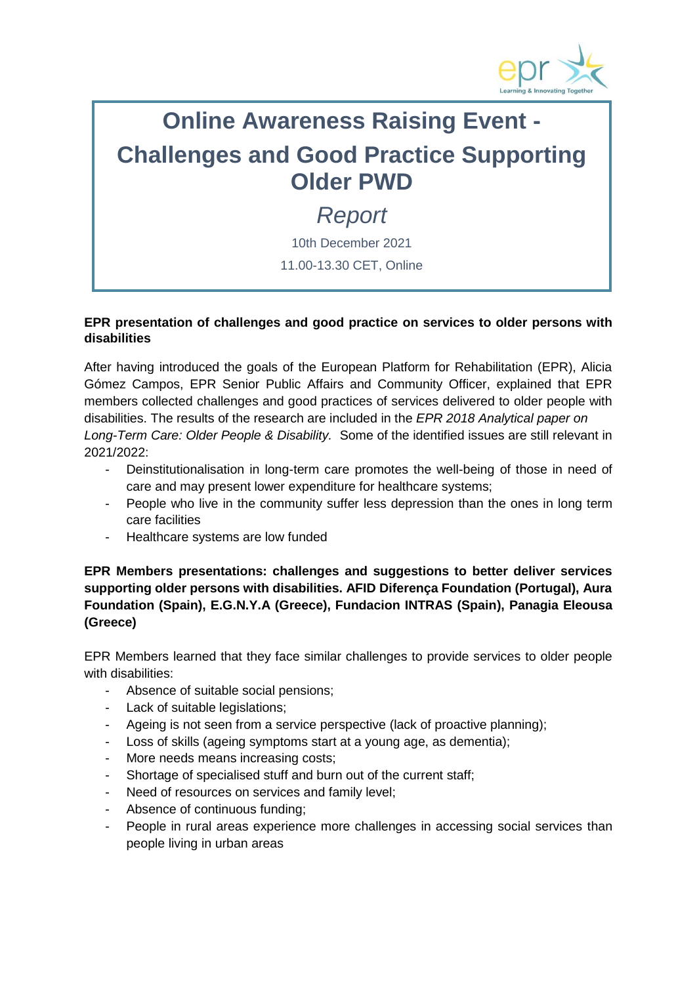

# **Online Awareness Raising Event - Challenges and Good Practice Supporting Older PWD**

## *Report*

10th December 2021 11.00-13.30 CET, Online

### **EPR presentation of challenges and good practice on services to older persons with disabilities**

After having introduced the goals of the European Platform for Rehabilitation (EPR), Alicia Gómez Campos, EPR Senior Public Affairs and Community Officer, explained that EPR members collected challenges and good practices of services delivered to older people with disabilities. The results of the research are included in the *EPR 2018 Analytical paper on Long-Term Care: Older People & Disability.* Some of the identified issues are still relevant in 2021/2022:

- Deinstitutionalisation in long-term care promotes the well-being of those in need of care and may present lower expenditure for healthcare systems;
- People who live in the community suffer less depression than the ones in long term care facilities
- Healthcare systems are low funded

**EPR Members presentations: challenges and suggestions to better deliver services supporting older persons with disabilities. AFID Diferença Foundation (Portugal), Aura Foundation (Spain), E.G.N.Y.A (Greece), Fundacion INTRAS (Spain), Panagia Eleousa (Greece)**

EPR Members learned that they face similar challenges to provide services to older people with disabilities:

- Absence of suitable social pensions;
- Lack of suitable legislations;
- Ageing is not seen from a service perspective (lack of proactive planning);
- Loss of skills (ageing symptoms start at a young age, as dementia);
- More needs means increasing costs;
- Shortage of specialised stuff and burn out of the current staff;
- Need of resources on services and family level;
- Absence of continuous funding;
- People in rural areas experience more challenges in accessing social services than people living in urban areas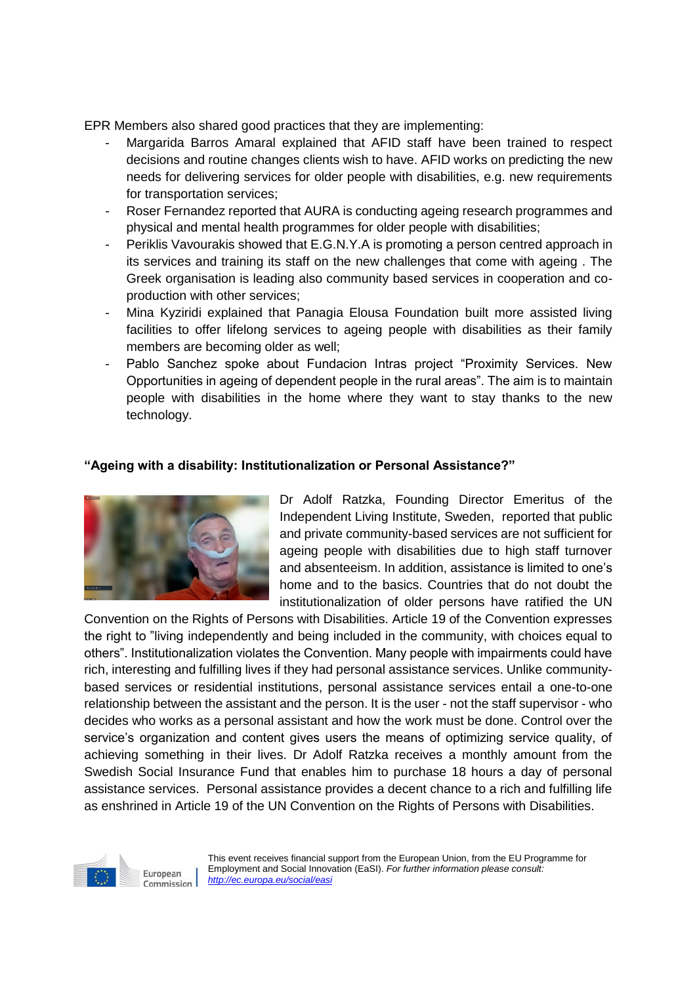EPR Members also shared good practices that they are implementing:

- Margarida Barros Amaral explained that AFID staff have been trained to respect decisions and routine changes clients wish to have. AFID works on predicting the new needs for delivering services for older people with disabilities, e.g. new requirements for transportation services;
- Roser Fernandez reported that AURA is conducting ageing research programmes and physical and mental health programmes for older people with disabilities;
- Periklis Vavourakis showed that E.G.N.Y.A is promoting a person centred approach in its services and training its staff on the new challenges that come with ageing . The Greek organisation is leading also community based services in cooperation and coproduction with other services;
- Mina Kyziridi explained that Panagia Elousa Foundation built more assisted living facilities to offer lifelong services to ageing people with disabilities as their family members are becoming older as well;
- Pablo Sanchez spoke about Fundacion Intras project "Proximity Services. New Opportunities in ageing of dependent people in the rural areas". The aim is to maintain people with disabilities in the home where they want to stay thanks to the new technology.

#### **"Ageing with a disability: Institutionalization or Personal Assistance?"**



Dr [Adolf Ratzka,](mailto:adolf.ratzka@independentliving.org) Founding Director Emeritus of the Independent Living Institute, Sweden, reported that public and private community-based services are not sufficient for ageing people with disabilities due to high staff turnover and absenteeism. In addition, assistance is limited to one's home and to the basics. Countries that do not doubt the institutionalization of older persons have ratified the UN

Convention on the Rights of Persons with Disabilities. Article 19 of the Convention expresses the right to "living independently and being included in the community, with choices equal to others". Institutionalization violates the Convention. Many people with impairments could have rich, interesting and fulfilling lives if they had personal assistance services. Unlike communitybased services or residential institutions, personal assistance services entail a one-to-one relationship between the assistant and the person. It is the user - not the staff supervisor - who decides who works as a personal assistant and how the work must be done. Control over the service's organization and content gives users the means of optimizing service quality, of achieving something in their lives. Dr Adolf Ratzka receives a monthly amount from the Swedish Social Insurance Fund that enables him to purchase 18 hours a day of personal assistance services. Personal assistance provides a decent chance to a rich and fulfilling life as enshrined in Article 19 of the UN Convention on the Rights of Persons with Disabilities.



This event receives financial support from the European Union, from the EU Programme for Employment and Social Innovation (EaSI). *For further information please consult[:](http://ec.europa.eu/social/easi) <http://ec.europa.eu/social/easi>*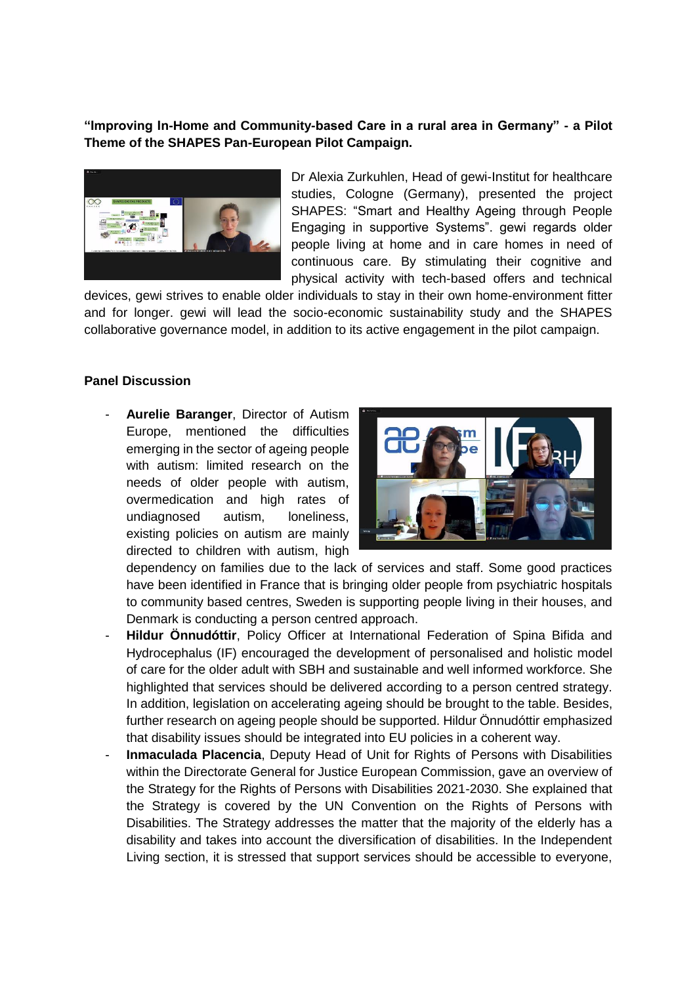**"Improving In-Home and Community-based Care in a rural area in Germany" - a Pilot Theme of the SHAPES Pan-European Pilot Campaign.**



Dr Alexia Zurkuhlen, Head of gewi-Institut for healthcare studies, Cologne (Germany), presented the project SHAPES: "Smart and Healthy Ageing through People Engaging in supportive Systems". gewi regards older people living at home and in care homes in need of continuous care. By stimulating their cognitive and physical activity with tech-based offers and technical

devices, gewi strives to enable older individuals to stay in their own home-environment fitter and for longer. gewi will lead the socio-economic sustainability study and the SHAPES collaborative governance model, in addition to its active engagement in the pilot campaign.

#### **Panel Discussion**

- **Aurelie Baranger**, Director of Autism Europe, mentioned the difficulties emerging in the sector of ageing people with autism: limited research on the needs of older people with autism, overmedication and high rates of undiagnosed autism, loneliness, existing policies on autism are mainly directed to children with autism, high



dependency on families due to the lack of services and staff. Some good practices have been identified in France that is bringing older people from psychiatric hospitals to community based centres, Sweden is supporting people living in their houses, and Denmark is conducting a person centred approach.

- **Hildur Önnudóttir**, Policy Officer at International Federation of Spina Bifida and Hydrocephalus (IF) encouraged the development of personalised and holistic model of care for the older adult with SBH and sustainable and well informed workforce. She highlighted that services should be delivered according to a person centred strategy. In addition, legislation on accelerating ageing should be brought to the table. Besides, further research on ageing people should be supported. Hildur Önnudóttir emphasized that disability issues should be integrated into EU policies in a coherent way.
- **Inmaculada Placencia**, Deputy Head of Unit for Rights of Persons with Disabilities within the Directorate General for Justice European Commission, gave an overview of the Strategy for the Rights of Persons with Disabilities 2021-2030. She explained that the Strategy is covered by the UN Convention on the Rights of Persons with Disabilities. The Strategy addresses the matter that the majority of the elderly has a disability and takes into account the diversification of disabilities. In the Independent Living section, it is stressed that support services should be accessible to everyone,